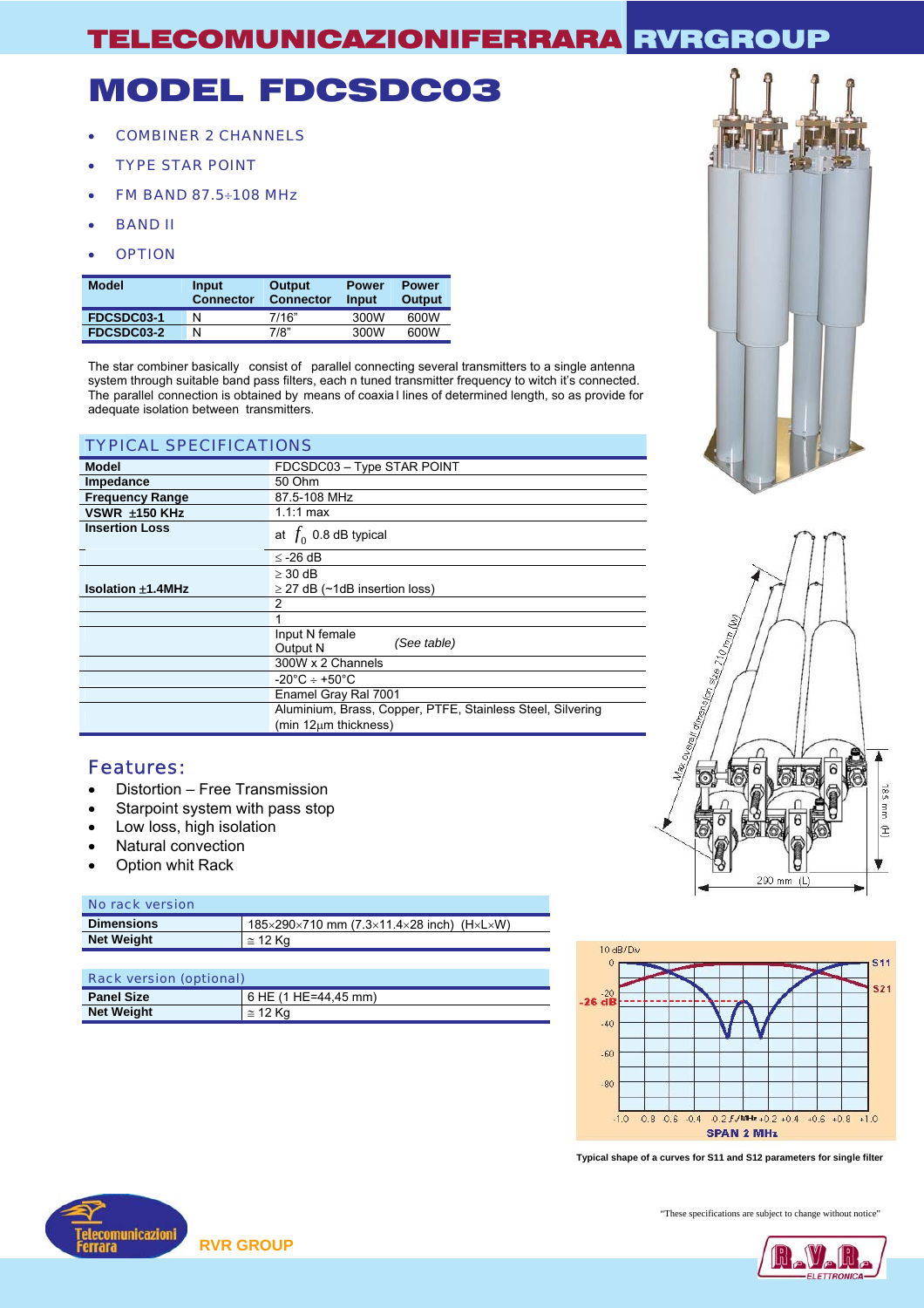# MODEL FDCSDC03

- COMBINER 2 CHANNELS
- TYPE STAR POINT
- FM BAND 87.5÷108 MHz
- BAND II
- OPTION

| <b>Model</b> | Input<br><b>Connector</b> | Output<br><b>Connector</b> | <b>Power</b><br>Input | <b>Power</b><br>Output |
|--------------|---------------------------|----------------------------|-----------------------|------------------------|
| FDCSDC03-1   | N                         | 7/16"                      | 300W                  | 600W                   |
| FDCSDC03-2   | N                         | 7/8"                       | 300W                  | 600W                   |

The star combiner basically consist of parallel connecting several transmitters to a single antenna system through suitable band pass filters, each n tuned transmitter frequency to witch it's connected. The parallel connection is obtained by means of coaxia l lines of determined length, so as provide for adequate isolation between transmitters.

| <b>TYPICAL SPECIFICATIONS</b>                              |  |  |  |  |
|------------------------------------------------------------|--|--|--|--|
| FDCSDC03 - Type STAR POINT                                 |  |  |  |  |
| 50 Ohm                                                     |  |  |  |  |
| 87.5-108 MHz                                               |  |  |  |  |
| $1.1:1 \text{ max}$                                        |  |  |  |  |
| at $f_0$ 0.8 dB typical                                    |  |  |  |  |
| $\le$ -26 dB                                               |  |  |  |  |
| $>$ 30 dB                                                  |  |  |  |  |
| $\geq$ 27 dB (~1dB insertion loss)                         |  |  |  |  |
|                                                            |  |  |  |  |
|                                                            |  |  |  |  |
| Input N female<br>(See table)<br>Output N                  |  |  |  |  |
| 300W x 2 Channels                                          |  |  |  |  |
| $-20^{\circ}$ C ÷ +50 $^{\circ}$ C                         |  |  |  |  |
| Enamel Gray Ral 7001                                       |  |  |  |  |
| Aluminium, Brass, Copper, PTFE, Stainless Steel, Silvering |  |  |  |  |
| $(min 12µm$ thickness)                                     |  |  |  |  |
|                                                            |  |  |  |  |

### Features:

- Distortion Free Transmission
- Starpoint system with pass stop
- Low loss, high isolation
- Natural convection
- **Option whit Rack**

#### No rack version

| <b>Dimensions</b> | 185×290×710 mm (7.3×11.4×28 inch) (H×L×W) |
|-------------------|-------------------------------------------|
| <b>Net Weight</b> | $\approx$ 12 Ka                           |

| <b>Rack version (optional)</b> |                      |  |
|--------------------------------|----------------------|--|
| <b>Panel Size</b>              | 6 HE (1 HE=44.45 mm) |  |
| <b>Net Weight</b>              | $\approx$ 12 Kg      |  |



**Typical shape of a curves for S11 and S12 parameters for single filter** 







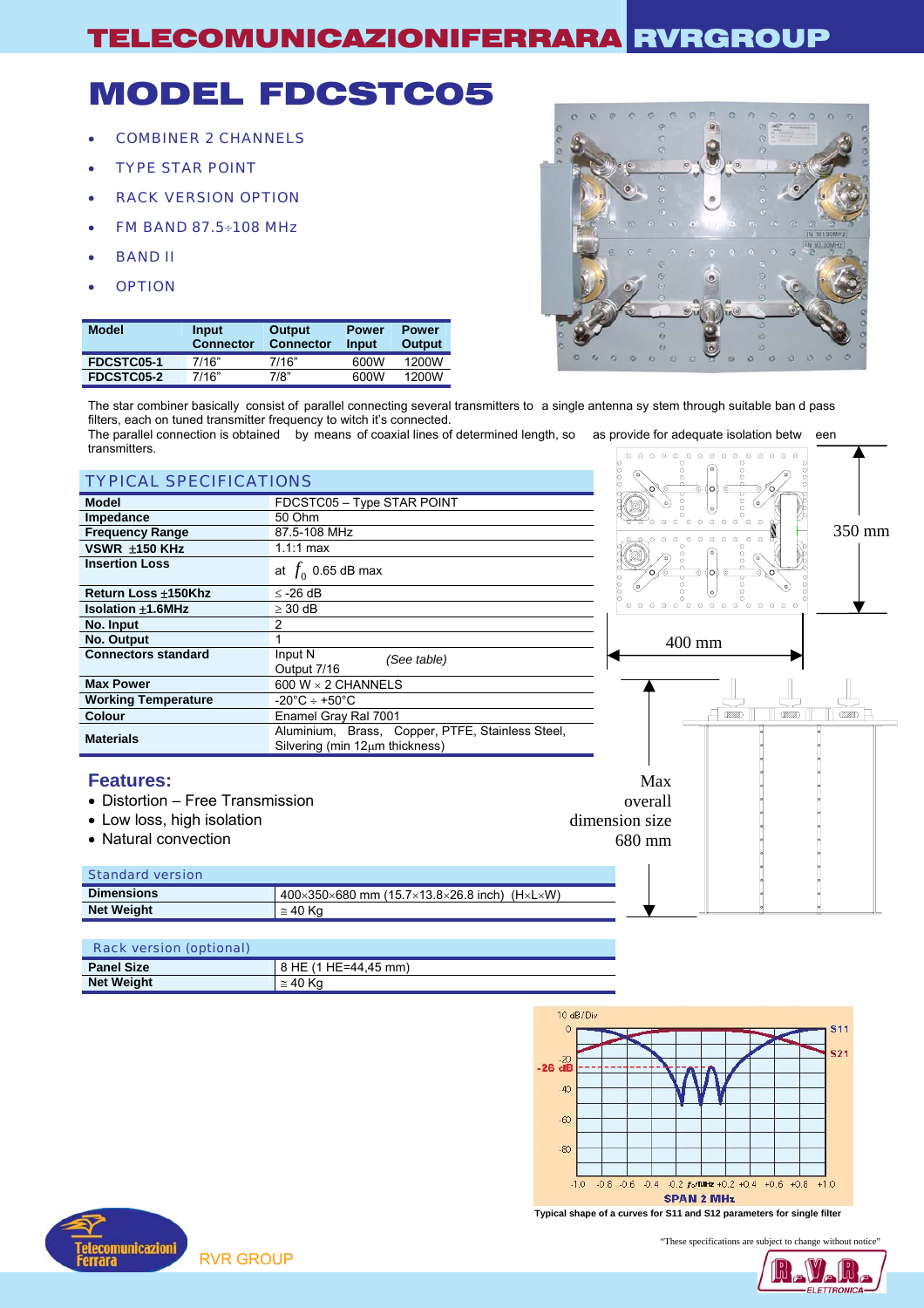# MODEL FDCSTC05

- COMBINER 2 CHANNELS
- TYPE STAR POINT
- RACK VERSION OPTION
- FM BAND 87.5÷108 MHz
- BAND II
- **OPTION**

| <b>Model</b> | Input<br><b>Connector</b> | Output<br><b>Connector</b> | <b>Power</b><br>Input | <b>Power</b><br>Output |
|--------------|---------------------------|----------------------------|-----------------------|------------------------|
| FDCSTC05-1   | 7/16"                     | 7/16"                      | 600W                  | 1200W                  |
| FDCSTC05-2   | 7/16"                     | 7/8"                       | 600W                  | 1200W                  |



The star combiner basically consist of parallel connecting several transmitters to a single antenna sy stem through suitable ban d pass filters, each on tuned transmitter frequency to witch it's connected.

The parallel connection is obtained by means of coaxial lines of determined length, so as provide for adequate isolation betw een transmitters. 

| <b>TYPICAL SPECIFICATIONS</b>    |                                                                                    | $\circ$                                    | (oʻ                                                     |               |
|----------------------------------|------------------------------------------------------------------------------------|--------------------------------------------|---------------------------------------------------------|---------------|
| <b>Model</b>                     | FDCSTC05 - Type STAR POINT                                                         |                                            |                                                         |               |
| Impedance                        | 50 Ohm                                                                             |                                            |                                                         |               |
| <b>Frequency Range</b>           | 87.5-108 MHz                                                                       |                                            | $\circ$<br>$\Omega$<br>$\Omega$                         | 350 mm        |
| VSWR ±150 KHz                    | $1.1:1$ max                                                                        |                                            |                                                         |               |
| <b>Insertion Loss</b>            | at $f_0$ 0.65 dB max                                                               |                                            |                                                         |               |
| Return Loss ±150Khz              | $\leq$ -26 dB                                                                      |                                            |                                                         |               |
| <b>Isolation ±1.6MHz</b>         | $\geq$ 30 dB                                                                       | $\circ \circ \circ \circ \circ$<br>$\circ$ | $\circ \circ \circ \circ \circ \circ \circ \circ \circ$ |               |
| No. Input                        | 2                                                                                  |                                            |                                                         |               |
| No. Output                       |                                                                                    |                                            | 400 mm                                                  |               |
| <b>Connectors standard</b>       | Input N<br>(See table)<br>Output 7/16                                              |                                            |                                                         |               |
| <b>Max Power</b>                 | 600 W $\times$ 2 CHANNELS                                                          |                                            |                                                         |               |
| <b>Working Temperature</b>       | $-20^{\circ}$ C ÷ +50 $^{\circ}$ C                                                 |                                            |                                                         |               |
| <b>Colour</b>                    | Enamel Gray Ral 7001                                                               |                                            | <b>CZZZZD</b><br>(VIIIA)                                | <b>CZZZZD</b> |
| <b>Materials</b>                 | Aluminium, Brass, Copper, PTFE, Stainless Steel,<br>Silvering (min 12µm thickness) |                                            |                                                         |               |
| <b>Features:</b>                 |                                                                                    | Max                                        |                                                         |               |
| • Distortion – Free Transmission |                                                                                    | overall                                    |                                                         |               |
| • Low loss, high isolation       |                                                                                    | dimension size                             |                                                         |               |
| • Natural convection             |                                                                                    | 680 mm                                     |                                                         |               |
|                                  |                                                                                    |                                            |                                                         |               |
| <b>Standard version</b>          |                                                                                    |                                            |                                                         |               |
| <b>Dimensions</b>                | $400\times350\times680$ mm (15.7×13.8×26.8 inch) (H×L×W)                           |                                            |                                                         |               |
| <b>Net Weight</b>                | $\approx$ 40 Kg                                                                    |                                            |                                                         |               |

| <b>Rack version (optional)</b> |                       |
|--------------------------------|-----------------------|
| <b>Panel Size</b>              | 18 HE (1 HE=44.45 mm) |
| <b>Net Weight</b>              | $\approx$ 40 Ka       |



**Typical shape of a curves for S11 and S12 parameters for single filter** 



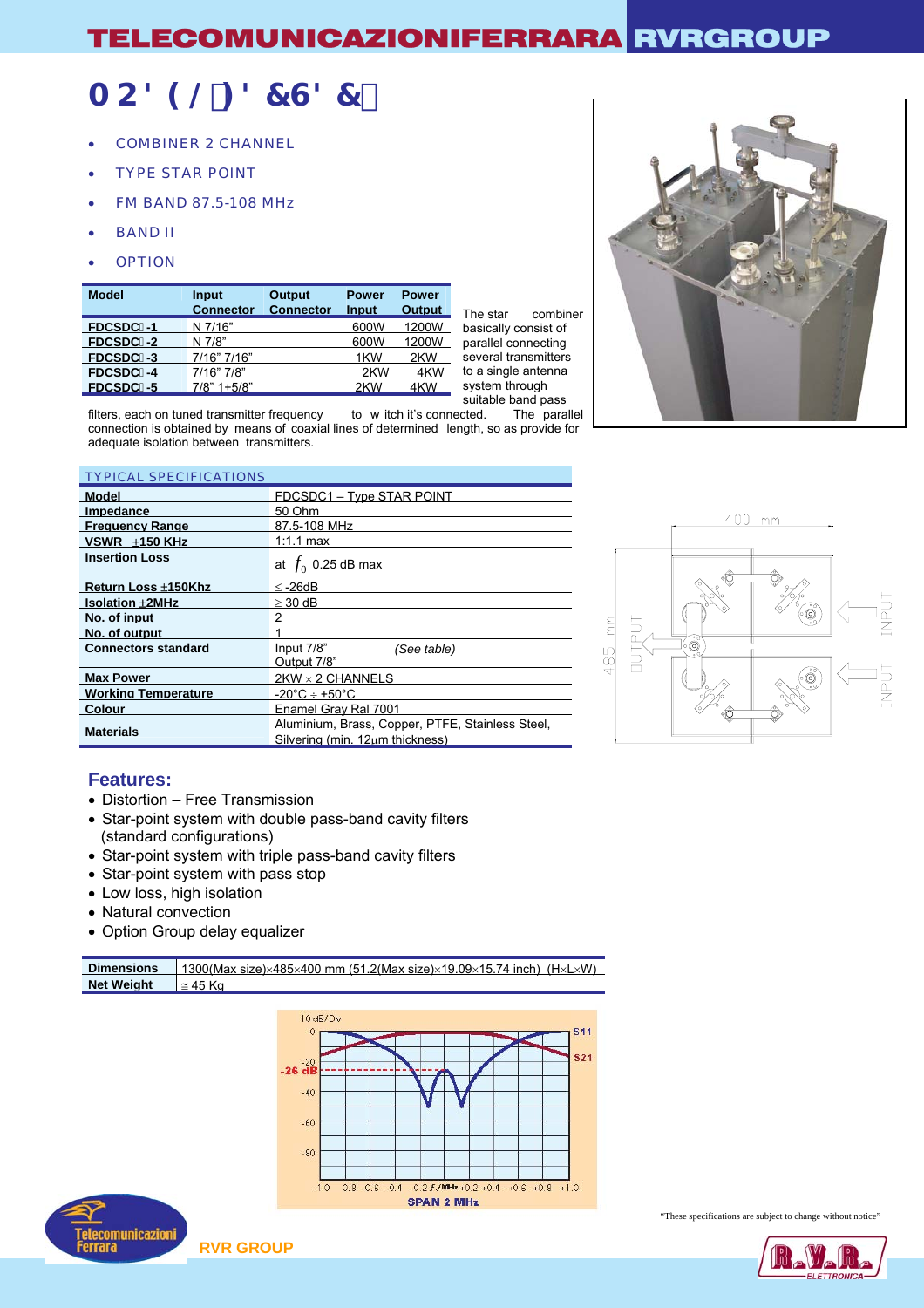## AC89@: 87G87%

- COMBINER 2 CHANNEL
- TYPE STAR POINT
- FM BAND 87.5-108 MHz
- BAND II
- **OPTION**

| <b>Model</b>    | Input<br><b>Connector</b> | <b>Output</b><br><b>Connector</b> | <b>Power</b><br>Input | <b>Power</b><br><b>Output</b> |
|-----------------|---------------------------|-----------------------------------|-----------------------|-------------------------------|
| <b>FDCSDC%1</b> | N 7/16"                   |                                   | 600W                  | 1200W                         |
| <b>FDCSDC%2</b> | N 7/8"                    |                                   | 600W                  | 1200W                         |
| <b>FDCSDC%3</b> | 7/16" 7/16"               |                                   | 1KW                   | 2KW                           |
| <b>FDCSDC%4</b> | 7/16" 7/8"                |                                   | 2KW                   | 4KW                           |
| FDCSDC%5        | $7/8$ " 1+5/8"            |                                   | 2KW                   | 4KW                           |

The star combiner basically consist of parallel connecting several transmitters to a single antenna system through



#### TYPICAL SPECIFICATIONS

| <b>Model</b>               | FDCSDC1 - Type STAR POINT                                                           |
|----------------------------|-------------------------------------------------------------------------------------|
| <b>Impedance</b>           | 50 Ohm                                                                              |
| <b>Frequency Range</b>     | 87.5-108 MHz                                                                        |
| VSWR $±150$ KHz            | $1:1.1$ max                                                                         |
| <b>Insertion Loss</b>      | at $f_0$ 0.25 dB max                                                                |
| Return Loss ±150Khz        | $\leq$ -26dB                                                                        |
| <b>Isolation ±2MHz</b>     | $\geq$ 30 dB                                                                        |
| No. of input               |                                                                                     |
| No. of output              |                                                                                     |
| <b>Connectors standard</b> | Input 7/8"<br>(See table)<br>Output 7/8"                                            |
| <b>Max Power</b>           | $2$ KW $\times$ 2 CHANNELS                                                          |
| <b>Working Temperature</b> | $-20^{\circ}$ C ÷ +50 $^{\circ}$ C                                                  |
| <b>Colour</b>              | Enamel Grav Ral 7001                                                                |
| <b>Materials</b>           | Aluminium, Brass, Copper, PTFE, Stainless Steel,<br>Silvering (min. 12um thickness) |



### **Features:**

- Distortion Free Transmission
- Star-point system with double pass-band cavity filters (standard configurations)
- Star-point system with triple pass-band cavity filters
- Star-point system with pass stop
- Low loss, high isolation
- Natural convection
- Option Group delay equalizer

| <b>Dimensions</b> | 1300(Max size)×485×400 mm (51.2(Max size)×19.09×15.74 inch) (H×L×W) |
|-------------------|---------------------------------------------------------------------|
| Net Weiaht        | $\simeq$ 45 Kn                                                      |
|                   |                                                                     |
|                   | $10$ dB/D <sub>M</sub><br><b>CA4</b>                                |





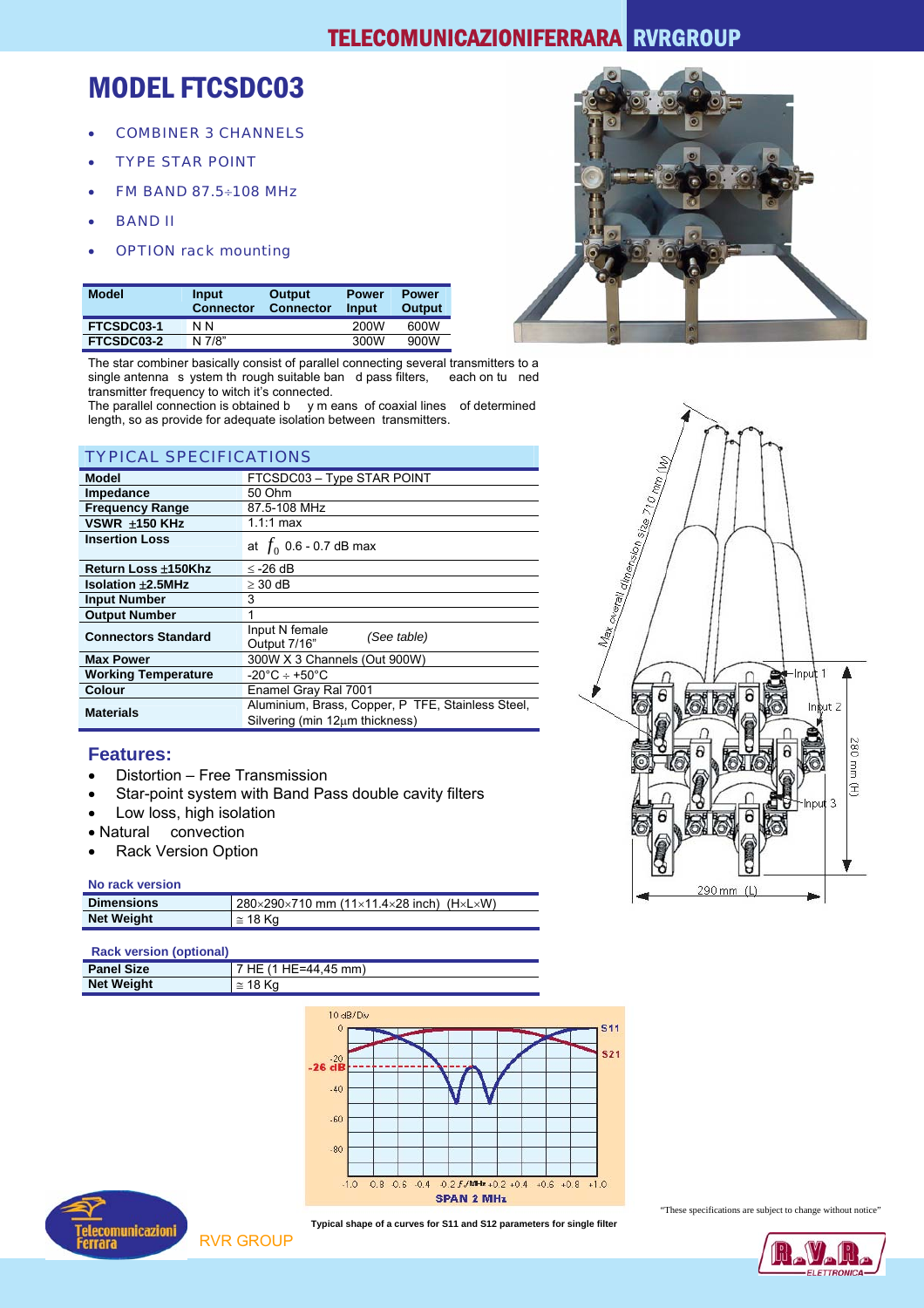### MODEL FTCSDC03

- COMBINER 3 CHANNELS
- TYPE STAR POINT
- FM BAND 87.5÷108 MHz
- BAND II
- OPTION rack mounting

T<sub>r</sub>edition in the second second second second second second second second second second second second second second second second second second second second second second second second second second second second second



| <b>Model</b> | Input<br><b>Connector</b> | Output<br><b>Connector</b> | <b>Power</b><br>Input | <b>Power</b><br>Output |
|--------------|---------------------------|----------------------------|-----------------------|------------------------|
| FTCSDC03-1   | N N                       |                            | 200W                  | 600W                   |
| FTCSDC03-2   | N 7/8"                    |                            | 300W                  | 900W                   |

The star combiner basically consist of parallel connecting several transmitters to a single antenna s ystem th rough suitable ban d pass filters, each on tu ned single antenna s ystem th rough suitable ban d pass filters, transmitter frequency to witch it's connected.

The parallel connection is obtained b y m eans of coaxial lines of determined length, so as provide for adequate isolation between transmitters.

| I YPICAL SPECIFICATIONS                  |                                                                                          |  |  |
|------------------------------------------|------------------------------------------------------------------------------------------|--|--|
| <b>Model</b>                             | FTCSDC03 - Type STAR POINT                                                               |  |  |
| Impedance                                | 50 Ohm                                                                                   |  |  |
| <b>Frequency Range</b>                   | 87.5-108 MHz                                                                             |  |  |
| VSWR ±150 KHz                            | 1.1:1 max                                                                                |  |  |
| <b>Insertion Loss</b>                    | at $f_0$ 0.6 - 0.7 dB max                                                                |  |  |
| Return Loss ±150Khz                      | $≤$ -26 dB                                                                               |  |  |
| <b>Isolation <math>\pm 2.5</math>MHz</b> | $\geq 30$ dB                                                                             |  |  |
| <b>Input Number</b>                      | 3                                                                                        |  |  |
| <b>Output Number</b>                     |                                                                                          |  |  |
| <b>Connectors Standard</b>               | Input N female<br>(See table)<br>Output 7/16"                                            |  |  |
| <b>Max Power</b>                         | 300W X 3 Channels (Out 900W)                                                             |  |  |
| <b>Working Temperature</b>               | $-20^{\circ}$ C ÷ +50 $^{\circ}$ C                                                       |  |  |
| <b>Colour</b>                            | Enamel Gray Ral 7001                                                                     |  |  |
| <b>Materials</b>                         | Aluminium, Brass, Copper, P TFE, Stainless Steel,<br>Silvering (min $12\mu m$ thickness) |  |  |

### **Features:**

- Distortion Free Transmission
- Star-point system with Band Pass double cavity filters
- Low loss, high isolation
- Natural convection
- Rack Version Option

#### **No rack version**

| <b>Dimensions</b> | 280×290×710 mm (11×11.4×28 inch) (H×L×W) |
|-------------------|------------------------------------------|
| <b>Net Weight</b> | $\approx$ 18 Ka                          |

#### **Rack version (optional)**

| <b>Panel Size</b> | HE=44.45 mm)    |
|-------------------|-----------------|
| <b>Net Weight</b> | $\approx$ 18 Ka |





**Typical shape of a curves for S11 and S12 parameters for single filter** 



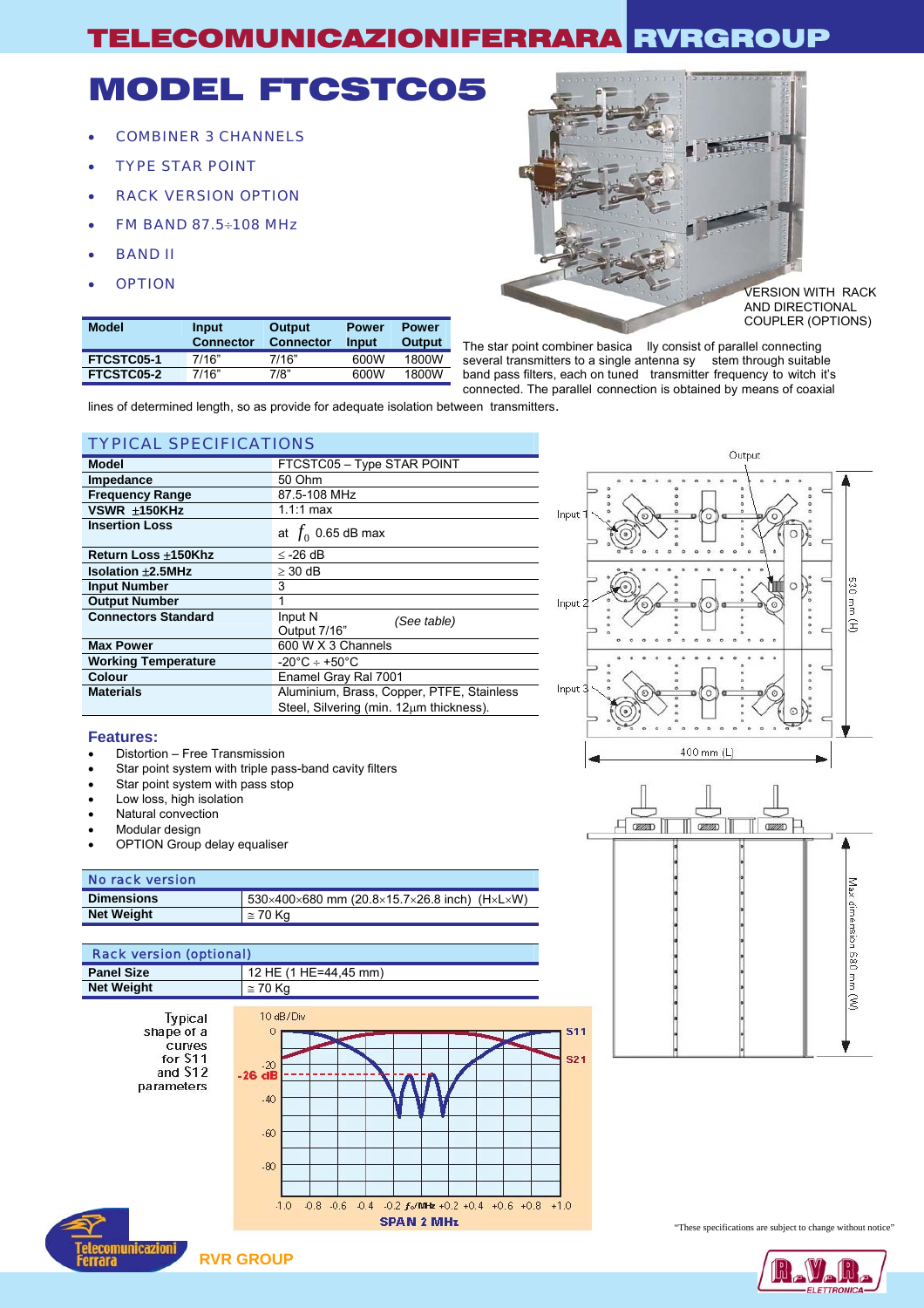# MODEL FTCSTC05

- COMBINER 3 CHANNELS
- TYPE STAR POINT
- RACK VERSION OPTION
- FM BAND 87.5÷108 MHz
- BAND II
- 

**FTCSTC05-2** 

**Model** Input



The star point combiner basica lly consist of parallel connecting several transmitters to a single antenna sy stem through suitable band pass filters, each on tuned transmitter frequency to witch it's connected. The parallel connection is obtained by means of coaxial

lines of determined length, so as provide for adequate isolation between transmitters.

**Power Input** 

**Power Output** 

**Output Connector** 

**FTCSTC05-1** 7/16" 7/16" 600W 1800W<br>**FTCSTC05-2** 7/16" 7/8" 600W 1800W

### TYPICAL SPECIFICATIONS

**Connector** 

| Model                      | FTCSTC05 - Type STAR POINT                |
|----------------------------|-------------------------------------------|
| Impedance                  | 50 Ohm                                    |
| <b>Frequency Range</b>     | 87.5-108 MHz                              |
| VSWR ±150KHz               | $1.1:1$ max                               |
| <b>Insertion Loss</b>      | at $f_0$ 0.65 dB max                      |
| Return Loss ±150Khz        | $\le$ -26 dB                              |
| <b>Isolation ±2.5MHz</b>   | $>$ 30 dB                                 |
| <b>Input Number</b>        | 3                                         |
| <b>Output Number</b>       | 1                                         |
| <b>Connectors Standard</b> | Input N<br>(See table)                    |
|                            | Output 7/16"                              |
| <b>Max Power</b>           | 600 W X 3 Channels                        |
| <b>Working Temperature</b> | $-20^{\circ}$ C ÷ +50 $^{\circ}$ C        |
| Colour                     | Enamel Gray Ral 7001                      |
| <b>Materials</b>           | Aluminium, Brass, Copper, PTFE, Stainless |
|                            | Steel, Silvering (min. 12µm thickness).   |



**Features:** 

- Distortion Free Transmission
- Star point system with triple pass-band cavity filters
- Star point system with pass stop
- Low loss, high isolation
- Natural convection
- Modular design
- OPTION Group delay equaliser

#### No rack version

| <b>Dimensions</b> | 530×400×680 mm (20.8×15.7×26.8 inch) (H×L×W) |
|-------------------|----------------------------------------------|
| <b>Net Weight</b> | $\approx$ 70 Kg                              |
|                   |                                              |

### Rack version (optional) **Panel Size 12 HE (1 HE=44,45 mm)**





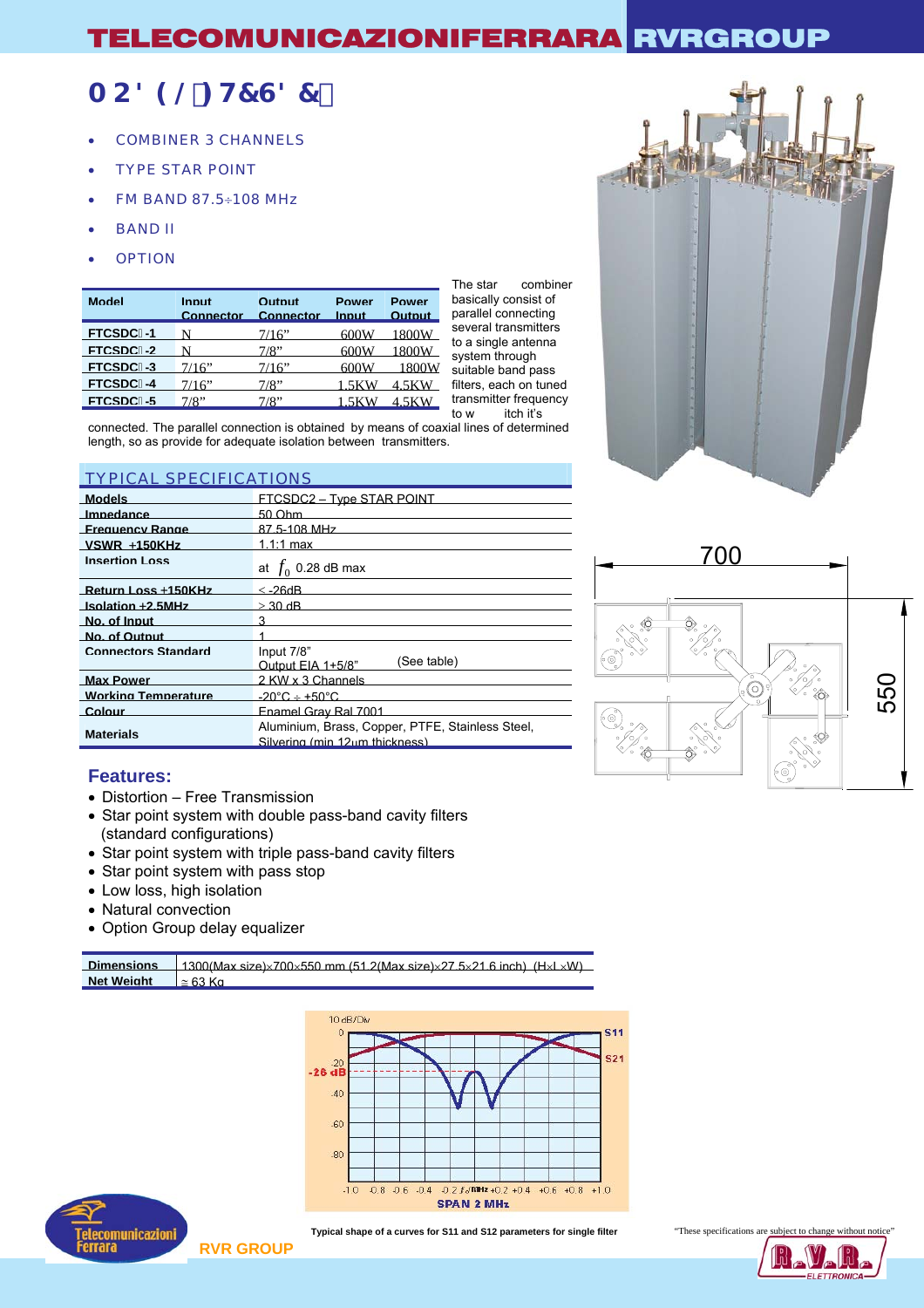### A C89@: H7G87%

- COMBINER 3 CHANNELS
- TYPE STAR POINT
- FM BAND 87.5÷108 MHz
- BAND II
- **OPTION**

| <b>Model</b> | Innut<br><b>Connector</b> | <b>Output</b><br>Connector Input | <b>Power</b> | <b>Power</b><br><b>Output</b> |
|--------------|---------------------------|----------------------------------|--------------|-------------------------------|
| FTCSDC%1     |                           | 7/16"                            | 600W         | 1800W                         |
| FTCSDC%2     |                           | 7/8"                             | 600W         | 1800W                         |
| FTCSDC%3     | 7/16"                     | 7/16"                            | 600W         | 1800W                         |
| FTCSDC%4     | 7/16"                     | 7/8"                             | 1 5KW        | 4 5KW                         |
| FTCSDC%5     | 7/8"                      | 7/8"                             | 1.5KW        | 4.5KW                         |

The star combiner basically consist of parallel connecting several transmitters to a single antenna system through suitable band pass ilters, each on tuned transmitter frequency<br>to w itch it's itch it's

connected. The parallel connection is obtained by means of coaxial lines of determined length, so as provide for adequate isolation between transmitters.

### TYPICAL SPECIFICATIONS

| <b>Models</b>              | <b>FTCSDC2 - Type STAR POINT</b>                                                   |
|----------------------------|------------------------------------------------------------------------------------|
| Impedance                  | 50 Ohm                                                                             |
| <b>Frequency Range</b>     | 87 5-108 MHz                                                                       |
| $VSWR + 150KHz$            | 1.1:1 max                                                                          |
| <b>Insertion Loss</b>      | at $f_0$ 0.28 dB max                                                               |
| Return Loss +150KHz        | $\le$ -26dB.                                                                       |
| Isolation +2.5MHz          | $>$ 30 dB                                                                          |
| No. of Input               | 3                                                                                  |
| No. of Output              |                                                                                    |
| <b>Connectors Standard</b> | Input 7/8"<br>(See table)<br>Output FIA 1+5/8"                                     |
| <b>Max Power</b>           | 2 KW x 3 Channels                                                                  |
| <b>Working Temperature</b> | $-20^{\circ}$ C $+$ +50 $^{\circ}$ C.                                              |
| Colour                     | Fnamel Gray Ral 7001                                                               |
| <b>Materials</b>           | Aluminium, Brass, Copper, PTFE, Stainless Steel,<br>Silvering (min 12um thickness) |



### **Features:**

- Distortion Free Transmission
- Star point system with double pass-band cavity filters (standard configurations)
- Star point system with triple pass-band cavity filters
- Star point system with pass stop
- Low loss, high isolation
- Natural convection
- Option Group delay equalizer

| <b>Dimensions</b> | $\frac{1300}{M}$ ax size $\frac{1}{200}$ 550 mm (51.2(Max size $\frac{1}{22}$ 5x21.6 inch) (HxLxW) |
|-------------------|----------------------------------------------------------------------------------------------------|
| <b>Net Weight</b> | $\simeq$ 63 Kn                                                                                     |
|                   |                                                                                                    |





**Typical shape of a curves for S11 and S12 parameters for single filter** "These specifications are subject to change without notice"